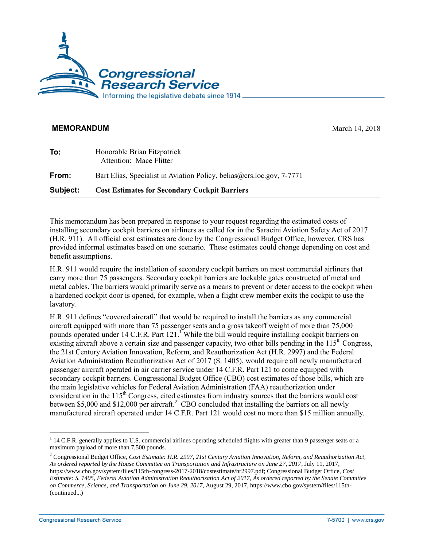

## **MEMORANDUM** March 14, 2018

| To:      | Honorable Brian Fitzpatrick<br>Attention: Mace Flitter                |
|----------|-----------------------------------------------------------------------|
| From:    | Bart Elias, Specialist in Aviation Policy, belias@crs.loc.gov, 7-7771 |
| Subject: | <b>Cost Estimates for Secondary Cockpit Barriers</b>                  |

This memorandum has been prepared in response to your request regarding the estimated costs of installing secondary cockpit barriers on airliners as called for in the Saracini Aviation Safety Act of 2017 [\(H.R. 911\)](http://www.congress.gov/cgi-lis/bdquery/z?d115:H.R.911:). All official cost estimates are done by the Congressional Budget Office, however, CRS has provided informal estimates based on one scenario. These estimates could change depending on cost and benefit assumptions.

[H.R. 911](http://www.congress.gov/cgi-lis/bdquery/z?d115:H.R.911:) would require the installation of secondary cockpit barriers on most commercial airliners that carry more than 75 passengers. Secondary cockpit barriers are lockable gates constructed of metal and metal cables. The barriers would primarily serve as a means to prevent or deter access to the cockpit when a hardened cockpit door is opened, for example, when a flight crew member exits the cockpit to use the lavatory.

[H.R. 911](http://www.congress.gov/cgi-lis/bdquery/z?d115:H.R.911:) defines "covered aircraft" that would be required to install the barriers as any commercial aircraft equipped with more than 75 passenger seats and a gross takeoff weight of more than 75,000 pounds operated under 14 C.F.R. Part 121.<sup>1</sup> While the bill would require installing cockpit barriers on existing aircraft above a certain size and passenger capacity, two other bills pending in the  $115<sup>th</sup>$  Congress, the 21st Century Aviation Innovation, Reform, and Reauthorization Act [\(H.R. 2997\)](http://www.congress.gov/cgi-lis/bdquery/z?d115:H.R.2997:) and the Federal Aviation Administration Reauthorization Act of 2017 [\(S. 1405\)](http://www.congress.gov/cgi-lis/bdquery/z?d115:S.1405:), would require all newly manufactured passenger aircraft operated in air carrier service under 14 C.F.R. Part 121 to come equipped with secondary cockpit barriers. Congressional Budget Office (CBO) cost estimates of those bills, which are the main legislative vehicles for Federal Aviation Administration (FAA) reauthorization under consideration in the  $115<sup>th</sup>$  Congress, cited estimates from industry sources that the barriers would cost between \$5,000 and \$12,000 per aircraft.<sup>2</sup> CBO concluded that installing the barriers on all newly manufactured aircraft operated under 14 C.F.R. Part 121 would cost no more than \$15 million annually.

 $\overline{a}$ 

<sup>&</sup>lt;sup>1</sup> 14 C.F.R. generally applies to U.S. commercial airlines operating scheduled flights with greater than 9 passenger seats or a maximum payload of more than 7,500 pounds.

<sup>2</sup> Congressional Budget Office, *Cost Estimate: H.R. 2997, 21st Century Aviation Innovation, Reform, and Reauthorization Act, As ordered reported by the House Committee on Transportation and Infrastructure on June 27, 2017*, July 11, 2017, https://www.cbo.gov/system/files/115th-congress-2017-2018/costestimate/hr2997.pdf; Congressional Budget Office, *Cost Estimate: S. 1405, Federal Aviation Administration Reauthorization Act of 2017, As ordered reported by the Senate Committee on Commerce, Science, and Transportation on June 29, 2017,* August 29, 2017, https://www.cbo.gov/system/files/115th- (continued...)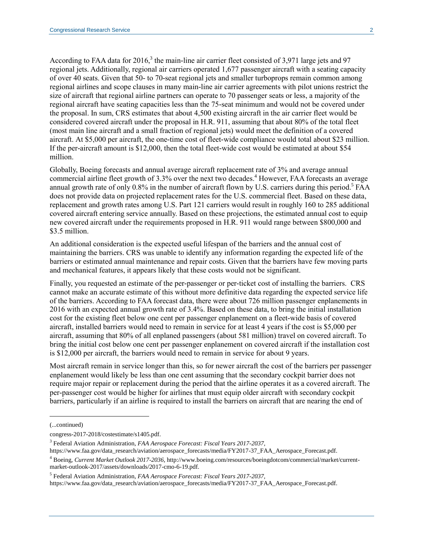According to FAA data for 2016,<sup>3</sup> the main-line air carrier fleet consisted of 3,971 large jets and 97 regional jets. Additionally, regional air carriers operated 1,677 passenger aircraft with a seating capacity of over 40 seats. Given that 50- to 70-seat regional jets and smaller turboprops remain common among regional airlines and scope clauses in many main-line air carrier agreements with pilot unions restrict the size of aircraft that regional airline partners can operate to 70 passenger seats or less, a majority of the regional aircraft have seating capacities less than the 75-seat minimum and would not be covered under the proposal. In sum, CRS estimates that about 4,500 existing aircraft in the air carrier fleet would be considered covered aircraft under the proposal in H.R. 911, assuming that about 80% of the total fleet (most main line aircraft and a small fraction of regional jets) would meet the definition of a covered aircraft. At \$5,000 per aircraft, the one-time cost of fleet-wide compliance would total about \$23 million. If the per-aircraft amount is \$12,000, then the total fleet-wide cost would be estimated at about \$54 million.

Globally, Boeing forecasts and annual average aircraft replacement rate of 3% and average annual commercial airline fleet growth of 3.3% over the next two decades. <sup>4</sup> However, FAA forecasts an average annual growth rate of only 0.8% in the number of aircraft flown by U.S. carriers during this period.<sup>5</sup> FAA does not provide data on projected replacement rates for the U.S. commercial fleet. Based on these data, replacement and growth rates among U.S. Part 121 carriers would result in roughly 160 to 285 additional covered aircraft entering service annually. Based on these projections, the estimated annual cost to equip new covered aircraft under the requirements proposed in [H.R. 911](http://www.congress.gov/cgi-lis/bdquery/z?d115:H.R.911:) would range between \$800,000 and \$3.5 million.

An additional consideration is the expected useful lifespan of the barriers and the annual cost of maintaining the barriers. CRS was unable to identify any information regarding the expected life of the barriers or estimated annual maintenance and repair costs. Given that the barriers have few moving parts and mechanical features, it appears likely that these costs would not be significant.

Finally, you requested an estimate of the per-passenger or per-ticket cost of installing the barriers. CRS cannot make an accurate estimate of this without more definitive data regarding the expected service life of the barriers. According to FAA forecast data, there were about 726 million passenger enplanements in 2016 with an expected annual growth rate of 3.4%. Based on these data, to bring the initial installation cost for the existing fleet below one cent per passenger enplanement on a fleet-wide basis of covered aircraft, installed barriers would need to remain in service for at least 4 years if the cost is \$5,000 per aircraft, assuming that 80% of all enplaned passengers (about 581 million) travel on covered aircraft. To bring the initial cost below one cent per passenger enplanement on covered aircraft if the installation cost is \$12,000 per aircraft, the barriers would need to remain in service for about 9 years.

Most aircraft remain in service longer than this, so for newer aircraft the cost of the barriers per passenger enplanement would likely be less than one cent assuming that the secondary cockpit barrier does not require major repair or replacement during the period that the airline operates it as a covered aircraft. The per-passenger cost would be higher for airlines that must equip older aircraft with secondary cockpit barriers, particularly if an airline is required to install the barriers on aircraft that are nearing the end of

l

<sup>(...</sup>continued)

congress-2017-2018/costestimate/s1405.pdf.

<sup>3</sup> Federal Aviation Administration, *FAA Aerospace Forecast: Fiscal Years 2017-2037,*

https://www.faa.gov/data\_research/aviation/aerospace\_forecasts/media/FY2017-37\_FAA\_Aerospace\_Forecast.pdf.

<sup>4</sup> Boeing, *Current Market Outlook 2017-2036,* [http://www.boeing.com/resources/boeingdotcom/commercial/market/current](http://www.boeing.com/resources/boeingdotcom/commercial/market/current-market-outlook-2017/assets/downloads/2017-cmo-6-19.pdf)[market-outlook-2017/assets/downloads/2017-cmo-6-19.pdf.](http://www.boeing.com/resources/boeingdotcom/commercial/market/current-market-outlook-2017/assets/downloads/2017-cmo-6-19.pdf)

<sup>5</sup> Federal Aviation Administration, *FAA Aerospace Forecast: Fiscal Years 2017-2037,*

https://www.faa.gov/data\_research/aviation/aerospace\_forecasts/media/FY2017-37\_FAA\_Aerospace\_Forecast.pdf.